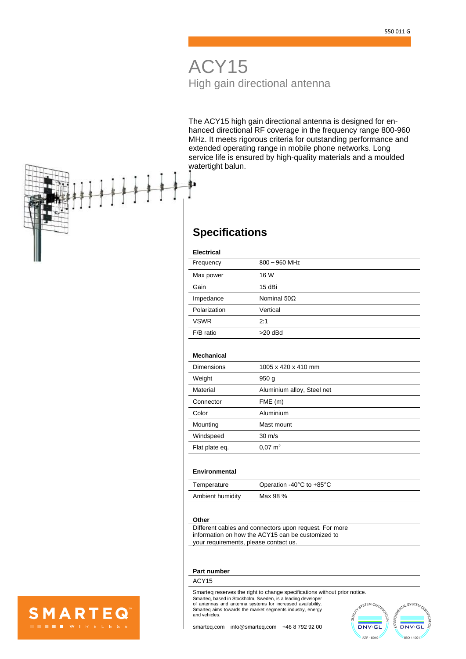# ACY15 High gain directional antenna

The ACY15 high gain directional antenna is designed for enhanced directional RF coverage in the frequency range 800-960 MHz. It meets rigorous criteria for outstanding performance and extended operating range in mobile phone networks. Long service life is ensured by high-quality materials and a moulded watertight balun.

## **Specifications**

#### **Electrical**

| Frequency    | $800 - 960$ MHz    |
|--------------|--------------------|
| Max power    | 16 W               |
| Gain         | 15 dBi             |
| Impedance    | Nominal $50\Omega$ |
| Polarization | Vertical           |
| <b>VSWR</b>  | 2:1                |
| F/B ratio    | $>20$ dBd          |

#### **Mechanical**

 $\overline{\phantom{a}}$ 

| <b>Dimensions</b> | 1005 x 420 x 410 mm        |
|-------------------|----------------------------|
| Weight            | 950 <sub>g</sub>           |
| Material          | Aluminium alloy, Steel net |
| Connector         | FME(m)                     |
| Color             | Aluminium                  |
| Mounting          | Mast mount                 |
| Windspeed         | $30 \text{ m/s}$           |
| Flat plate eq.    | $0.07 \text{ m}^2$         |

#### **Environmental**

| Temperature      | Operation -40 $\degree$ C to +85 $\degree$ C |
|------------------|----------------------------------------------|
| Ambient humidity | Max 98 %                                     |

#### **Other**

Different cables and connectors upon request. For more information on how the ACY15 can be customized to your requirements, please contact us.

#### **Part number**

### ACY15

Smarteq reserves the right to change specifications without prior notice.Smarteq, based in Stockholm, Sweden, is a leading developer of antennas and antenna systems for increased availability. Smarteq aims towards the market segments industry, energy and vehicles. ă







smarteq.com [info@smarteq.com](mailto:info@smarteq.com) +46 8 792 92 00